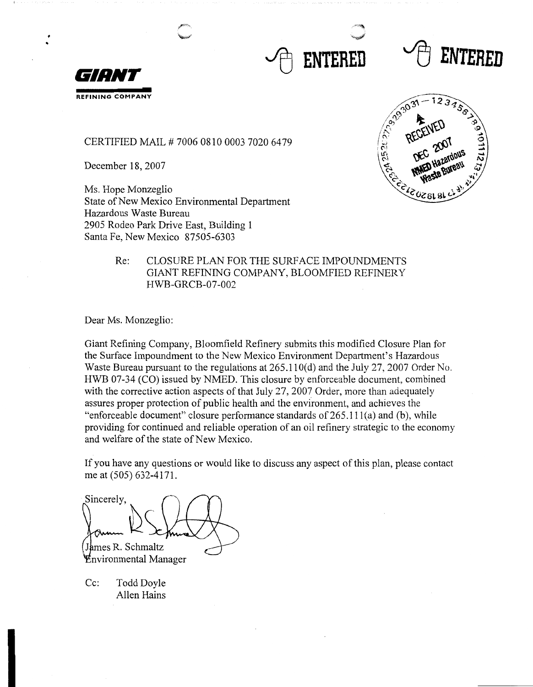





• •

CERTIFIED MAIL# 7006 0810 0003 7020 6479

December 18, 2007

Ms. Hope Monzeglio State of New Mexico Environmental Department Hazardous Waste Bureau 2905 Rodeo Park Drive East, Building 1 Santa Fe, New Mexico 87505-6303



#### Re: CLOSURE PLAN FOR THE SURFACE IMPOUNDMENTS GIANT REFINING COMPANY, BLOOMFIED REFINERY HWB-GRCB-07-002

Dear Ms. Monzeglio:

Giant Refining Company, Bloomfield Refinery submits this modified Closure Plan for the Surface Impoundment to the New Mexico Environment Department's Hazardous Waste Bureau pursuant to the regulations at 265.110(d) and the July 27, 2007 Order No. HWB 07-34 (CO) issued by NMED. This closure by enforceable document, combined with the corrective action aspects of that July 27, 2007 Order, more than adequately assures proper protection of public health and the environment, and achieves the "enforceable document" closure performance standards of  $265.111(a)$  and (b), while providing for continued and reliable operation of an oil refinery strategic to the economy and welfare of the state of New Mexico.

If you have any questions or would like to discuss any aspect of this plan, please contact me at (505) 632-4171.

Sincerely. James R. Schmaltz **Environmental Manager** 

Cc: Todd Doyle Allen Hains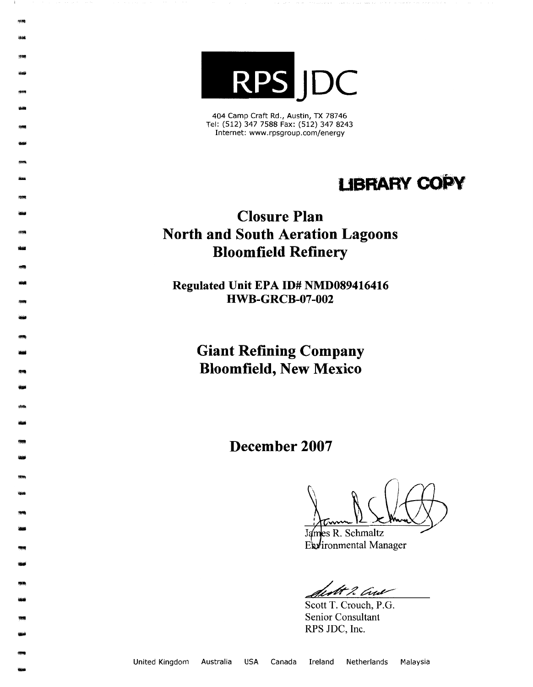

**<br><br>1838 球鴨**<br>-<br>-<br>-

-

- -<br>-<br>-<br>-

-<br>-<br>-<br>-<br>--

- -

-

-

- -

-- -

-

-

աբար<br>-<br>-<br>-

- -

- -

-

- -

-

-<br>-<br>-<br>-

- -

404 Camp Craft Rd., Austin, TX 78746 Tel: (512) 347 7588 Fax: (512) 347 8243 Internet: www.rpsgroup.com/energy

# **LIBRARY COPY**

## **Closure Plan North and South Aeration Lagoons Bloomfield Refinery**

**Regulated Unit EPA ID# NMD089416416 HWB-GRCB-07-002** 

> **Giant Refining Company Bloomfield, New Mexico**

> > **December 2007**

James R. Schmaltz

James R. Schmaltz

ft 2 Aw

Scott T. Crouch, P.G. Senior Consultant RPS JDC, Inc.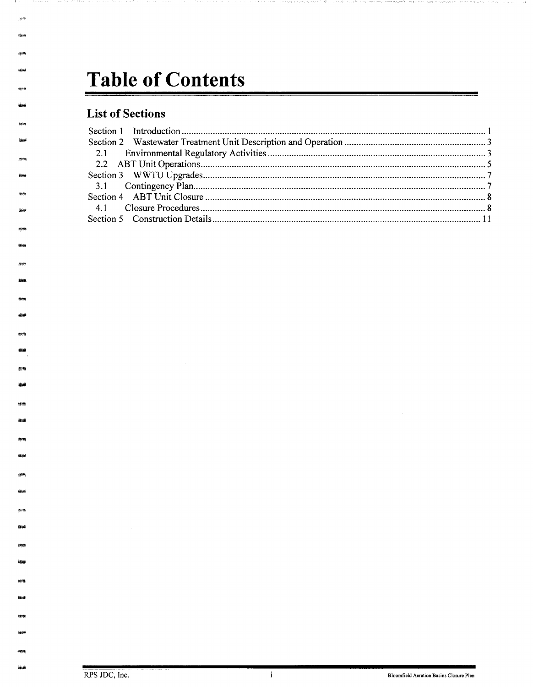# Table of Contents

### **List of Sections**

 $\langle\phi\rangle$ **Resea** 

**Vind** 

**Shafe** 

残酷 ideal

**district** 68.66

**new** 

**Sing** 

 $\overline{\mathbf{i}}$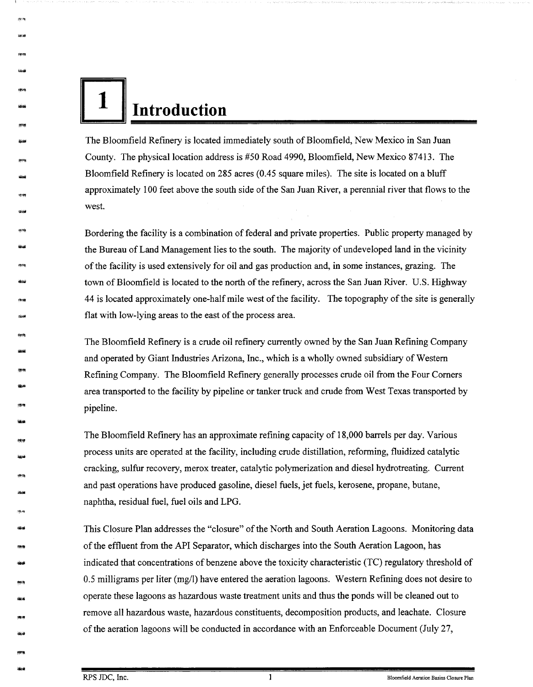I **<sup>l</sup>**~ **Introduction** 

- \*\*\*\*\*<br>\*\*\*\*

地线

-

-

神<sup>24</sup><br>-<br>-<br>-

-<br>- <del>1999</del><br>- 1999

\*\*<br>\*\*

-

,. .. -

---<br>999<br>-----神楽<br>-<br>曲州

- *物*治<br><del>後</del>治

- <sub>特殊</sub><br><del>強調</del>

-

<del>- <br>- 海道</del><br>- 海道

-

神楽<br>-<br>-<br>-<br>-

-<br>-<br>-<br>-<br>-

-

- -

The Bloomfield Refinery is located immediately south of Bloomfield, New Mexico in San Juan County. The physical location address is #50 Road 4990, Bloomfield, New Mexico 87413. The Bloomfield Refinery is located on 285 acres (0.45 square miles). The site is located on a bluff approximately 100 feet above the south side of the San Juan River, a perennial river that flows to the west.

Bordering the facility is a combination of federal and private properties. Public property managed by the Bureau of Land Management lies to the south. The majority of undeveloped land in the vicinity of the facility is used extensively for oil and gas production and, in some instances, grazing. The town of Bloomfield is located to the north of the refinery, across the San Juan River. U.S. Highway 44 is located approximately one-half mile west of the facility. The topography of the site is generally flat with low-lying areas to the east of the process area.

The Bloomfield Refinery is a crude oil refinery currently owned by the San Juan Refining Company and operated by Giant Industries Arizona, Inc., which is a wholly owned subsidiary of Western Refining Company. The Bloomfield Refinery generally processes crude oil from the Four Comers area transported to the facility by pipeline or tanker truck and crude from West Texas transported by pipeline.

The Bloomfield Refinery has an approximate refining capacity of 18,000 barrels per day. Various process units are operated at the facility, including crude distillation, reforming, fluidized catalytic cracking, sulfur recovery, merox treater, catalytic polymerization and diesel hydrotreating. Current and past operations have produced gasoline, diesel fuels, jet fuels, kerosene, propane, butane, naphtha, residual fuel, fuel oils and LPG.

This Closure Plan addresses the "closure" of the North and South Aeration Lagoons. Monitoring data of the effluent from the API Separator, which discharges into the South Aeration Lagoon, has indicated that concentrations of benzene above the toxicity characteristic (TC) regulatory threshold of 0.5 milligrams per liter (mg/I) have entered the aeration lagoons. Western Refining does not desire to operate these lagoons as hazardous waste treatment units and thus the ponds will be cleaned out to remove all hazardous waste, hazardous constituents, decomposition products, and leachate. Closure of the aeration lagoons will be conducted in accordance with an Enforceable Document (July 27,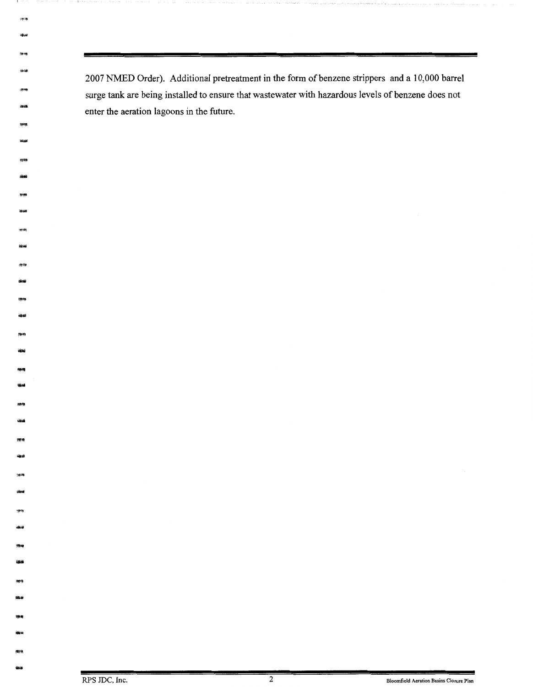2007 NMED Order). Additional pretreatment in the form of benzene strippers and a 10,000 barrel surge tank are being installed to ensure that wastewater with hazardous levels of benzene does not enter the aeration lagoons in the future.

بين<br>1944<br>1944

**Se on** .<br>Notae

*-*<br>-<br>一

andria<br>Brogh<br>Sassai -<br>-<br>-<br>-

- -<br>-<br>後藤<br>-

---<br>1660

-

-

- -

- -

-<br>-<br>中<br>-<br>中<br>-

- 精**隆**<br>- <del>198</del>

- -

学生<br><del>磁波</del>

-

物?)<br>銀*子* 

**-**<br>- 宗북<br>- 後半

- -<br>横線<br><del>- 海道</del>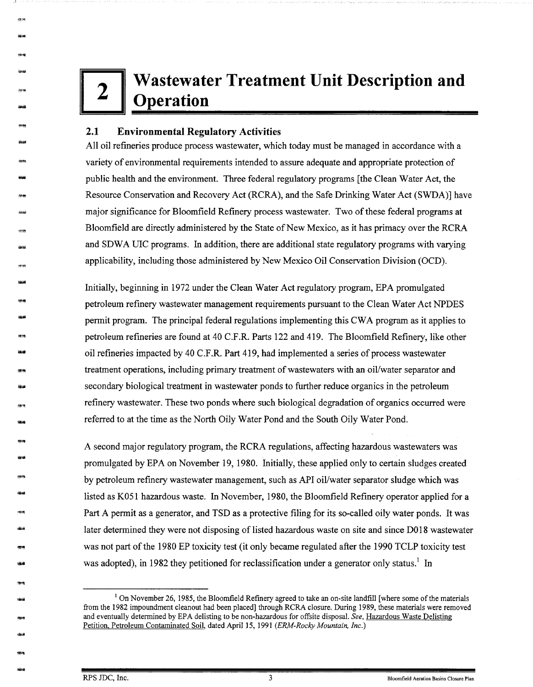# **2 Wastewater Treatment Unit Description and <br><b>2 Operation Operation**

#### **2.1 Environmental Regulatory Activities**

作34<br>|<br>|編<del>編</del>

- -<br>-<br>-<br>-

<del>休快</del><br>-<br><del>- 10</del>

---<br>\*\*<br>----하<del>해</del><br>-<br>-<br>-

- -<br>-<br><del>- 1120</del>

-

.<br>-<br><del>1964</del>

-1060년<br>-<br>-<br>- Andel 細崎<br>梅鮮<br>梅鮮

-<br>-<br>-<br>-<br>-

<del>-</del><br>\*\*\*<br>\*\*\*

- \*\*<br>-<br>-

-<br>|<br>| Mine

-904<br>-<br>-

-

- -

-

All oil refineries produce process wastewater, which today must be managed in accordance with a variety of environmental requirements intended to assure adequate and appropriate protection of public health and the environment. Three federal regulatory programs [the Clean Water Act, the Resource Conservation and Recovery Act (RCRA), and the Safe Drinking Water Act (SWDA)] have major significance for Bloomfield Refinery process wastewater. Two of these federal programs at Bloomfield are directly administered by the State of New Mexico, as it has primacy over the RCRA and SDWA UIC programs. In addition, there are additional state regulatory programs with varying applicability, including those administered by New Mexico Oil Conservation Division (OCD).

Initially, beginning in 1972 under the Clean Water Act regulatory program, EPA promulgated petroleum refinery wastewater management requirements pursuant to the Clean Water Act NPDES permit program. The principal federal regulations implementing this CW A program as it applies to petroleum refineries are found at 40 C.F.R. Parts 122 and 419. The Bloomfield Refinery, like other oil refineries impacted by 40 C.F.R. Part 419, had implemented a series of process wastewater treatment operations, including primary treatment of wastewaters with an oil/water separator and secondary biological treatment in wastewater ponds to further reduce organics in the petroleum refinery wastewater. These two ponds where such biological degradation of organics occurred were referred to at the time as the North Oily Water Pond and the South Oily Water Pond.

A second major regulatory program, the RCRA regulations, affecting hazardous wastewaters was promulgated by EPA on November 19, 1980. Initially, these applied only to certain sludges created by petroleum refinery wastewater management, such as API oil/water separator sludge which was listed as K0S l hazardous waste. In November, 1980, the Bloomfield Refinery operator applied for a Part A permit as a generator, and TSD as a protective filing for its so-called oily water ponds. It was later determined they were not disposing of listed hazardous waste on site and since DO 18 wastewater was not part of the 1980 EP toxicity test (it only became regulated after the 1990 TCLP toxicity test was adopted), in 1982 they petitioned for reclassification under a generator only status.<sup>1</sup> In

<sup>&</sup>lt;sup>1</sup> On November 26, 1985, the Bloomfield Refinery agreed to take an on-site landfill [where some of the materials from the 1982 impoundment cleanout had been placed] through RCRA closure. During 1989, these materials were removed and eventually determined by EPA delisting to be non-hazardous for offsite disposal. *See,* Hazardous Waste Delisting Petition, Petroleum Contaminated Soil, dated April 15, 1991 *(ERM-Rocky Mountain, Inc.)*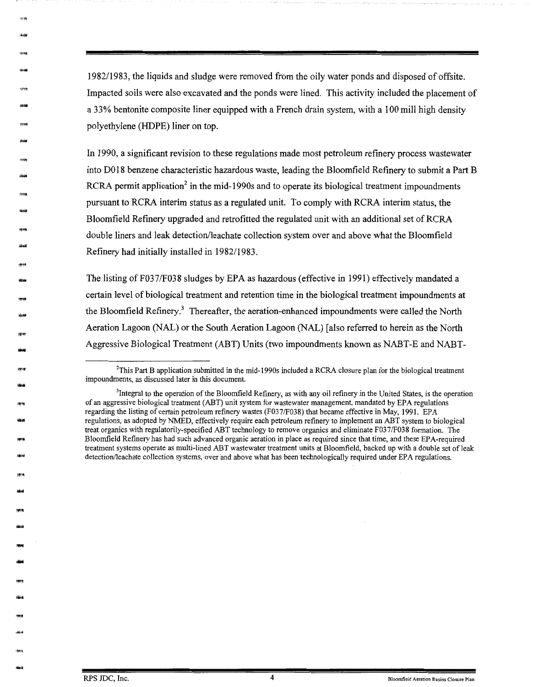1982/1983, the liquids and sludge were removed from the oily water ponds and disposed of offsite. Impacted soils were also excavated and the ponds were lined. This activity included the placement of a 33% bentonite composite liner equipped with a French drain system, with a 100 mill high density polyethylene (HDPE) liner on top.

In 1990, a significant revision to these regulations made most petroleum refinery process wastewater into D018 benzene characteristic hazardous waste, leading the Bloomfield Refinery to submit a Part B RCRA permit application<sup>2</sup> in the mid-1990s and to operate its biological treatment impoundments pursuant to RCRA interim status as a regulated unit. To comply with RCRA interim status, the Bloomfield Refinery upgraded and retrofitted the regulated unit with an additional set of RCRA double liners and leak detection/leachate collection system over and above what the Bloomfield Refinery had initially installed in 1982/1983.

The listing of F037/F038 sludges by EPA as hazardous (effective in 1991) effectively mandated a certain level of biological treatment and retention time in the biological treatment impoundments at the Bloomfield Refinery.<sup>3</sup> Thereafter, the aeration-enhanced impoundments were called the North Aeration Lagoon (NAL) or the South Aeration Lagoon (NAL) [also referred to herein as the North Aggressive Biological Treatment (ABT) Units (two impoundments known as NABT-E and NABT-

"'"'

-1279<br>-<br><del>1210</del>

 nyan<br>Kabup

-

-<br>-<br>-<br>-

-<br>-<br>--<br>-<br>Presidenti

-

- 191499<br>12:00

/影明<br><del>- 8010</del>

-<br>아이 :<br>아이 :

浮味<br>**硫道** 

-<br>-<br>-<br>-<br>-

-

<del>)</del><br>-<br>아이

- -

-

<sup>2</sup> This Part B application submitted in the mid-1990s included a RCRA closure plan for the biological treatment impoundments, as discussed later in this document.

<sup>&</sup>lt;sup>3</sup>Integral to the operation of the Bloomfield Refinery, as with any oil refinery in the United States, is the operation of an aggressive biological treatment (ABT) unit system for wastewater management, mandated by EPA regulations regarding the listing of certain petroleum refinery wastes (F037/F038) that became effective in May, 1991. EPA regulations, as adopted by NMED, effectively require each petroleum refinery to implement an ABT system to biological treat organics with regulatorily-specified ABT technology to remove organics and eliminate F03 7 /F038 formation. The Bloomfield Refinery has had such advanced organic aeration in place as required since that time, and these EPA-required treatment systems operate as multi-lined ABT wastewater treatment units at Bloomfield, backed up with a double set of leak detection/leachate collection systems, over and above what has been technologically required under EPA regulations.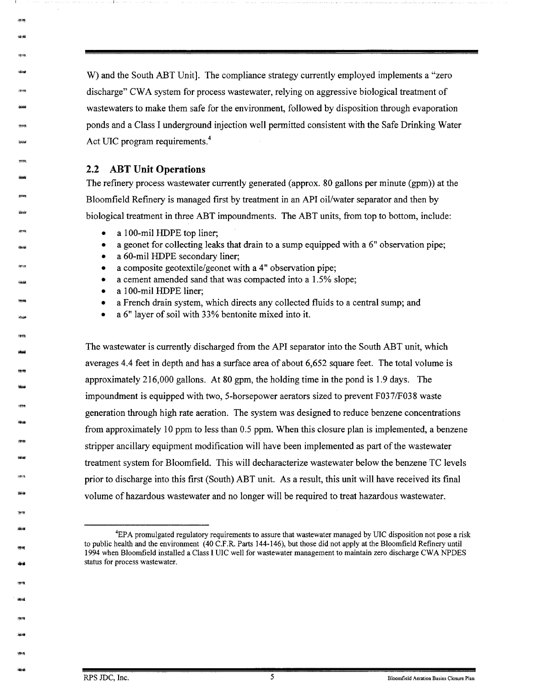W) and the South ABT Unit]. The compliance strategy currently employed implements a "zero discharge" CWA system for process wastewater, relying on aggressive biological treatment of wastewaters to make them safe for the environment, followed by disposition through evaporation ponds and a Class I underground injection well permitted consistent with the Safe Drinking Water Act UIC program requirements.<sup>4</sup>

#### **2.2 ABT Unit Operations**

\*\*<br>-<br>-<br>-

-

が明<br>-<br>996

99100<br>Zhouar

*康*明<br>-<br>後<del>順</del>

....

.....

-995<br>-<br><del>Mill</del>

-<br>-<br>-<br>-<br>-<br>-

-1914<br>-<br>-<br>-

- -

-<br>-<br>**- 대** 

-

-

**- 李治**<br>-<br><del>1010</del>

--<br>1944<br>-----.<br>-<br>-<br>-<br>-<br>-

The refinery process wastewater currently generated (approx. 80 gallons per minute (gpm)) at the Bloomfield Refinery is managed first by treatment in an API oil/water separator and then by biological treatment in three ABT impoundments. The ABT units, from top to bottom, include:

- a 100-mil HDPE top liner;
- a geonet for collecting leaks that drain to a sump equipped with a 6" observation pipe;
- a 60-mil HDPE secondary liner;
- a composite geotextile/geonet with a 4" observation pipe;
- a cement amended sand that was compacted into a 1.5% slope;
- a 100-mil HDPE liner;
- a French drain system, which directs any collected fluids to a central sump; and
- a 6" layer of soil with 33% bentonite mixed into it.

The wastewater is currently discharged from the API separator into the South ABT unit, which averages 4.4 feet in depth and has a surface area of about 6,652 square feet. The total volume is approximately 216,000 gallons. At 80 gpm, the holding time in the pond is 1.9 days. The impoundment is equipped with two, 5-horsepower aerators sized to prevent F037/F038 waste generation through high rate aeration. The system was designed to reduce benzene concentrations from approximately 10 ppm to less than 0.5 ppm. When this closure plan is implemented, a benzene stripper ancillary equipment modification will have been implemented as part of the wastewater treatment system for Bloomfield. This will decharacterize wastewater below the benzene TC levels prior to discharge into this first (South) ABT unit. As a result, this unit will have received its final volume of hazardous wastewater and no longer will be required to treat hazardous wastewater.

<sup>4</sup> EPA promulgated regulatory requirements to assure that wastewater managed by UIC disposition not pose a risk to public health and the environment (40 C.F.R. Parts 144-146), but those did not apply at the Bloomfield Refinery until 1994 when Bloomfield installed a Class I UIC well for wastewater management to maintain zero discharge CWA NPDES status for process wastewater.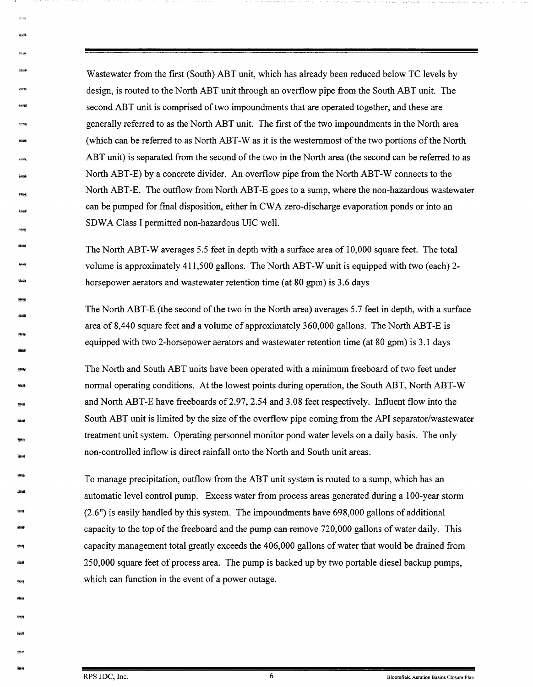Wastewater from the first (South) ABT unit, which has already been reduced below TC levels by design, is routed to the North ABT unit through an overflow pipe from the South ABT unit. The second ABT unit is comprised of two impoundments that are operated together, and these are generally referred to as the North ABT unit. The first of the two impoundments in the North area (which can be referred to as North ABT-Was it is the westernmost of the two portions of the North ABT unit) is separated from the second of the two in the North area (the second can be referred to as North ABT-E) by a concrete divider. An overflow pipe from the North ABT-W connects to the North ABT-E. The outflow from North ABT-E goes to a sump, where the non-hazardous wastewater can be pumped for final disposition, either in CWA zero-discharge evaporation ponds or into an SDWA Class I permitted non-hazardous UIC well.

The North ABT-W averages 5.5 feet in depth with a surface area of 10,000 square feet. The total volume is approximately 411,500 gallons. The North ABT-W unit is equipped with two (each) 2horsepower aerators and wastewater retention time (at 80 gpm) is 3.6 days

The North ABT-E (the second of the two in the North area) averages 5.7 feet in depth, with a surface area of 8,440 square feet and a volume of approximately 360,000 gallons. The North ABT-E is equipped with two 2-horsepower aerators and wastewater retention time (at 80 gpm) is 3.1 days

The North and South ABT units have been operated with a minimum freeboard of two feet under normal operating conditions. At the lowest points during operation, the South ABT, North ABT-W and North ABT-E have freeboards of 2.97, 2.54 and 3.08 feet respectively. Influent flow into the South ABT unit is limited by the size of the overflow pipe coming from the API separator/wastewater treatment unit system. Operating personnel monitor pond water levels on a daily basis. The only non-controlled inflow is direct rainfall onto the North and South unit areas.

To manage precipitation, outflow from the ABT unit system is routed to a sump, which has an automatic level control pump. Excess water from process areas generated during a 100-year storm (2.6") is easily handled by this system. The impoundments have 698,000 gallons of additional capacity to the top of the freeboard and the pump can remove 720,000 gallons of water daily. This capacity management total greatly exceeds the 406,000 gallons of water that would be drained from 250,000 square feet of process area. The pump is backed up by two portable diesel backup pumps, which can function in the event of a power outage.

- -<br>-<br>-<br>-<br>-

26.99

\*\*\*<br>Live

-<br>-<br>-<br>-

-<br>-<br>-<br>-

- -

·<br>|<br>|<br>|<br>|<br>|

- -

-

---<br>1944<br>-----<br>|#4<br>|#4

-

-<br>-<br>-<br>-

-

•• - -1999<br>-<br>-2010

-<br>-<br>-<br>-<br>-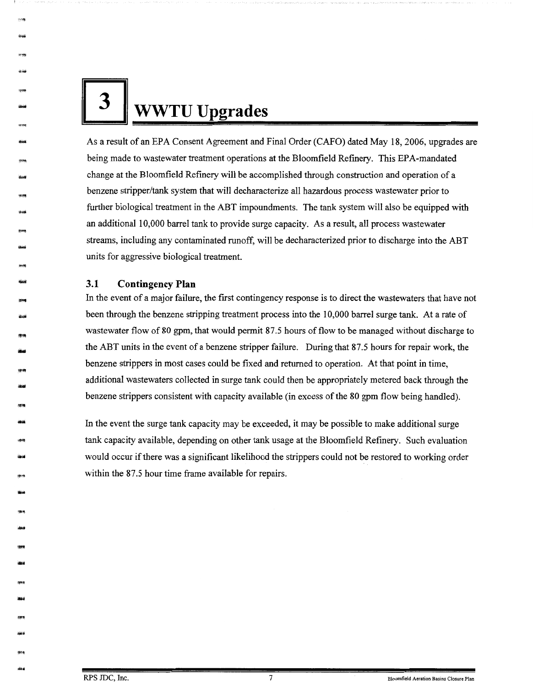**3** WWTU Upgrades

As a result of an EPA Consent Agreement and Final Order (CAFO) dated May 18, 2006, upgrades are being made to wastewater treatment operations at the Bloomfield Refinery. This EPA-mandated change at the Bloomfield Refinery will be accomplished through construction and operation of a benzene stripper/tank system that will decharacterize all hazardous process wastewater prior to further biological treatment in the ABT impoundments. The tank system will also be equipped with an additional 10,000 barrel tank to provide surge capacity. As a result, all process wastewater streams, including any contaminated runoff, will be decharacterized prior to discharge into the ABT units for aggressive biological treatment.

#### **3.1 Contingency Plan**

**\*\*\***<br>\*\*\*

-

-

- -sena<br>Glorif

- ---<br>----<br>----

-<br>-<br>-<br>-<br>--9749<br>-<br>-<br>-

1848<br>May<br>1844 -

-

- -

-<br>-<br>端編

-

<del>39</del>年<br>-<br><del>19</del>24

-

-

-

-

-954<br>-<br>-<br>-

In the event of a major failure, the first contingency response is to direct the wastewaters that have not been through the benzene stripping treatment process into the 10,000 barrel surge tank. At a rate of wastewater flow of 80 gpm, that would permit 87.5 hours of flow to be managed without discharge to the ABT units in the event of a benzene stripper failure. During that 87 .5 hours for repair work, the benzene strippers in most cases could be fixed and returned to operation. At that point in time, additional wastewaters collected in surge tank could then be appropriately metered back through the benzene strippers consistent with capacity available (in excess of the 80 gpm flow being handled).

In the event the surge tank capacity may be exceeded, it may be possible to make additional surge tank capacity available, depending on other tank usage at the Bloomfield Refinery. Such evaluation would occur if there was a significant likelihood the strippers could not be restored to working order within the 87.5 hour time frame available for repairs.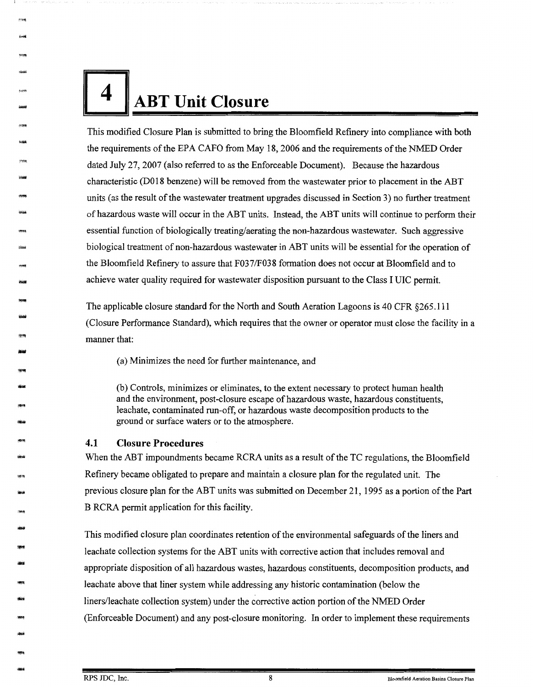

-

-

-

- 1118<br>-<br>የሐዘ

- -nors<br>Widt

-

- -<br>-<br>-<br>-<br>-

-1968<br>-<br>-<br>------1948<br>-<br>-<br>-

·<br>-<br>-<br>-<br>-

- **- ነው።**<br>- ነው።<br>- ነው።

- -

- -

-

- -

-

-

This modified Closure Plan is submitted to bring the Bloomfield Refinery into compliance with both the requirements of the EPA CAFO from May 18, 2006 and the requirements of the NMED Order dated July 27, 2007 (also referred to as the Enforceable Document). Because the hazardous characteristic (DO 18 benzene) will be removed from the wastewater prior to placement in the ABT units ( as the result of the wastewater treatment upgrades discussed in Section 3) no further treatment of hazardous waste will occur in the ABT units. Instead, the ABT units will continue to perform their essential function of biologically treating/aerating the non-hazardous wastewater. Such aggressive biological treatment of non-hazardous wastewater in ABT units will be essential for the operation of the Bloomfield Refinery to assure that F037/F038 formation does not occur at Bloomfield and to achieve water quality required for wastewater disposition pursuant to the Class I UIC permit.

The applicable closure standard for the North and South Aeration Lagoons is 40 CFR §265.111 (Closure Performance Standard), which requires that the owner or operator must close the facility in a manner that:

(a) Minimizes the need for further maintenance, and

(b) Controls, minimizes or eliminates, to the extent necessary to protect human health and the environment, post-closure escape of hazardous waste, hazardous constituents, leachate, contaminated run-off, or hazardous waste decomposition products to the ground or surface waters or to the atmosphere.

#### **4.1 Closure Procedures**

When the ABT impoundments became RCRA units as a result of the TC regulations, the Bloomfield Refinery became obligated to prepare and maintain a closure plan for the regulated unit. The previous closure plan for the ABT units was submitted on December 21, 1995 as a portion of the Part B RCRA permit application for this facility.

This modified closure plan coordinates retention of the environmental safeguards of the liners and leachate collection systems for the ABT units with corrective action that includes removal and appropriate disposition of all hazardous wastes, hazardous constituents, decomposition products, and leachate above that liner system while addressing any historic contamination (below the liners/leachate collection system) under the corrective action portion of the NMED Order (Enforceable Document) and any post-closure monitoring. In order to implement these requirements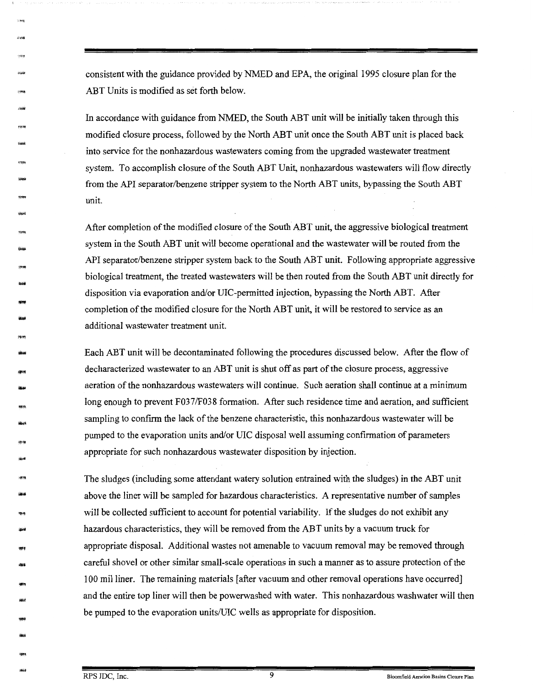consistent with the guidance provided by NMED and EPA, the original 1995 closure plan for the ABT Units is modified as set forth below.

In accordance with guidance from NMED, the South ABT unit will be initially taken through this modified closure process, followed by the North ABT unit once the South ABT unit is placed back into service for the nonhazardous wastewaters coming from the upgraded wastewater treatment system. To accomplish closure of the South ABT Unit, nonhazardous wastewaters will flow directly from the API separator/benzene stripper system to the North ABT units, bypassing the South ABT unit.

After completion of the modified closure of the South ABT unit, the aggressive biological treatment system in the South ABT unit will become operational and the wastewater will be routed from the API separator/benzene stripper system back to the South ABT unit. Following appropriate aggressive biological treatment, the treated wastewaters will be then routed from the South ABT unit directly for disposition via evaporation and/or DIC-permitted injection, bypassing the North ABT. After completion of the modified closure for the North ABT unit, it will be restored to service as an additional wastewater treatment unit.

Each ABT unit will be decontaminated following the procedures discussed below. After the flow of decharacterized wastewater to an ABT unit is shut off as part of the closure process, aggressive aeration of the nonhazardous wastewaters will continue. Such aeration shall continue at a minimum long enough to prevent F037/F038 formation. After such residence time and aeration, and sufficient sampling to confirm the lack of the benzene characteristic, this nonhazardous wastewater will be pumped to the evaporation units and/or UIC disposal well assuming confirmation of parameters appropriate for such nonhazardous wastewater disposition by injection.

The sludges (including some attendant watery solution entrained with the sludges) in the ABT unit above the liner will be sampled for hazardous characteristics. A representative number of samples will be collected sufficient to account for potential variability. If the sludges do not exhibit any hazardous characteristics, they will be removed from the ABT units by a vacuum truck for appropriate disposal. Additional wastes not amenable to vacuum removal may be removed through careful shovel or other similar small-scale operations in such a manner as to assure protection of the 100 mil liner. The remaining materials [ after vacuum and other removal operations have occurred] and the entire top liner will then be powerwashed with water. This nonhazardous washwater will then be pumped to the evaporation units/UIC wells as appropriate for disposition.

,,.,.

\*\*\*\*<br>**\*\*\*\*** 

epa Sugar

> -<br>1934)<br>-1994)<br>ulgai

-<br>-<br>-<br>-<br>-

- 3차<del>의</del><br>Quadd

-

- .<br>-<br>-<br>-<br>-

- 1957)<br>Marti

- 物<br><del>-</del><br><del>194</del>

-

----<br>1964<br>-----

-<br>-<br>-<br>-<br>-

---<br>----<br>-----yra<br>Mûd

RPS JDC, Inc. 9 **Bloomfield Aeration Basins Closure Plan**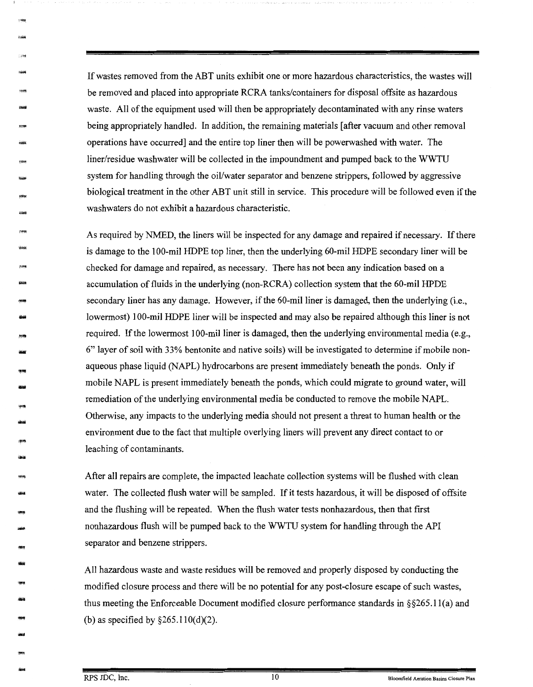If wastes removed from the ABT units exhibit one or more hazardous characteristics, the wastes will be removed and placed into appropriate RCRA tanks/containers for disposal offsite as hazardous waste. All of the equipment used will then be appropriately decontaminated with any rinse waters being appropriately handled. In addition, the remaining materials [after vacuum and other removal operations have occurred] and the entire top liner then will be powerwashed with water. The liner/residue washwater will be collected in the impoundment and pumped back to the WWTU system for handling through the oil/water separator and benzene strippers, followed by aggressive biological treatment in the other ABT unit still in service. This procedure will be followed even if the washwaters do not exhibit a hazardous characteristic.

As required by NMED, the liners will be inspected for any damage and repaired if necessary. If there is damage to the 100-mil HDPE top liner, then the underlying 60-mil HDPE secondary liner will be checked for damage and repaired, as necessary. There has not been any indication based on a accumulation of fluids in the underlying (non-RCRA) collection system that the 60-mil HPDE secondary liner has any damage. However, if the 60-mil liner is damaged, then the underlying (i.e., lowermost) 100-mil HDPE liner will be inspected and may also be repaired although this liner is not required. If the lowermost 100-mil liner is damaged, then the underlying environmental media (e.g., 6" layer of soil with 33% bentonite and native soils) will be investigated to determine if mobile nonaqueous phase liquid (NAPL) hydrocarbons are present immediately beneath the ponds. Only if mobile NAPL is present immediately beneath the ponds, which could migrate to ground water, will remediation of the underlying environmental media be conducted to remove the mobile NAPL. Otherwise, any impacts to the underlying media should not present a threat to human health or the environment due to the fact that multiple overlying liners will prevent any direct contact to or leaching of contaminants.

After all repairs are complete, the impacted leachate collection systems will be flushed with clean water. The collected flush water will be sampled. If it tests hazardous, it will be disposed of offsite and the flushing will be repeated. When the flush water tests nonhazardous, then that first nonhazardous flush will be pumped back to the WWTU system for handling through the API separator and benzene strippers.

All hazardous waste and waste residues will be removed and properly disposed by conducting the modified closure process and there will be no potential for any post-closure escape of such wastes, thus meeting the Enforceable Document modified closure performance standards in  $\S 265.11(a)$  and (b) as specified by  $\S 265.110(d)(2)$ .

----<br>14606

-1999<br>UMB

-

rova<br>Livesi

easg<br>Gliom

881021<br>-<br>-<br>-<br>--

-'lffll

-<br>-<br>-<br>-<br>-

-<br>-<br>-<br>- Incoré ang<br>akai

.<br>কাম<br>টোৱা

-

sere<br>1999<br>1914 -<br>-<br>-

-<br>-<br>-<br>-

-

-

1999<br>-<br>-<br>Novel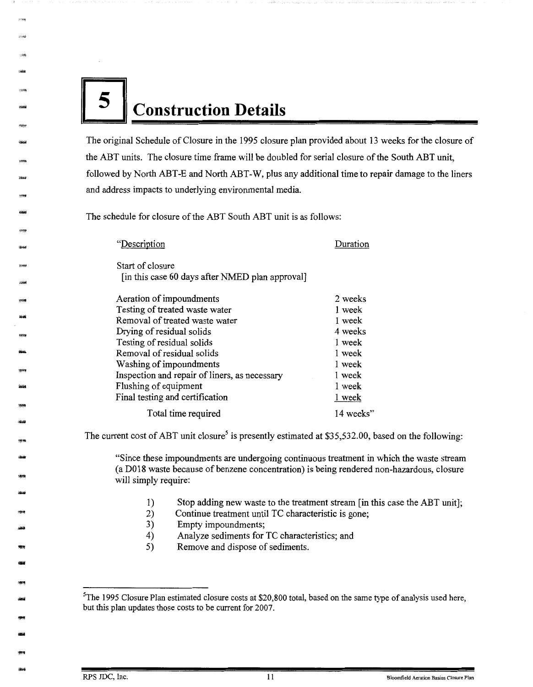# **5 Construction Details**

-

-

- -----<br>Xbaar

-

- -<br>-<br>20<del>10</del>

---<br>1999<br>----<br>-<br>-<br>-

-

-

ার্চুগার<br>-<br>নার্চারায়

-

-

-

-

•• -<br>-<br>-<br>-<br>- The original Schedule of Closure in the 1995 closure plan provided about 13 weeks for the closure of the ABT units. The closure time frame will be doubled for serial closure of the South ABT unit, followed by North ABT-E and North ABT-W, plus any additional time to repair damage to the liners and address impacts to underlying environmental media.

The schedule for closure of the ABT South ABT unit is as follows:

| "Description"                                   | Duration  |
|-------------------------------------------------|-----------|
| Start of closure                                |           |
| [in this case 60 days after NMED plan approval] |           |
| Aeration of impoundments                        | 2 weeks   |
| Testing of treated waste water                  | 1 week    |
| Removal of treated waste water                  | 1 week    |
| Drying of residual solids                       | 4 weeks   |
| Testing of residual solids                      | 1 week    |
| Removal of residual solids                      | 1 week    |
| Washing of impoundments                         | 1 week    |
| Inspection and repair of liners, as necessary   | 1 week    |
| Flushing of equipment                           | 1 week    |
| Final testing and certification                 | 1 week    |
| Total time required                             | 14 weeks" |

The current cost of ABT unit closure<sup>5</sup> is presently estimated at \$35,532.00, based on the following:

"Since these impoundments are undergoing continuous treatment in which the waste stream ( a DO 18 waste because of benzene concentration) is being rendered non-hazardous, closure will simply require:

- 1) Stop adding new waste to the treatment stream [in this case the ABT unit];
- 2) Continue treatment until TC characteristic is gone;
- 3) Empty impoundments;
- 4) Analyze sediments for TC characteristics; and
- 5) Remove and dispose of sediments.

<sup>&</sup>lt;sup>5</sup>The 1995 Closure Plan estimated closure costs at \$20,800 total, based on the same type of analysis used here, but this plan updates those costs to be current for 2007.